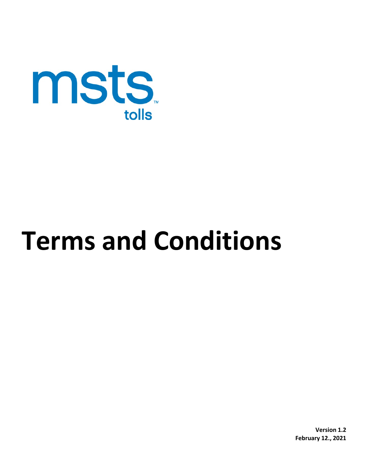

# **Terms and Conditions**

**Version 1.2 February 12., 2021**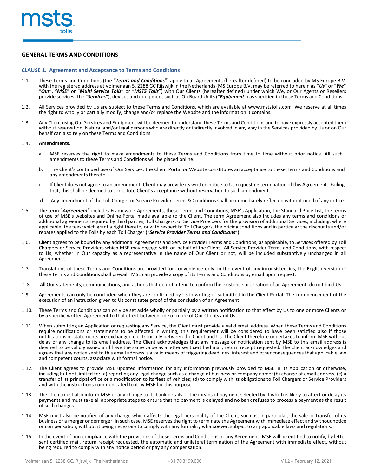

# **GENERAL TERMS AND CONDITIONS**

#### **CLAUSE 1. Agreement and Acceptance to Terms and Conditions**

- 1.1. These Terms and Conditions (the "*Terms and Conditions*") apply to all Agreements (hereafter defined) to be concluded by MS Europe B.V. with the registered address at Volmerlaan 5, 2288 GC Rijswijk in the Netherlands (MS Europe B.V. may be referred to herein as "*Us*" or "*We*" "*Our*", "*MSE*" or "*Multi Service Tolls*" or "*MSTS Tolls*") with Our Clients (hereafter defined) under which We, or Our Agents or Resellers provide services (the "*Services*"), devices and equipment such as On Board Units ("*Equipment*") as specified in these Terms and Conditions.
- 1.2. All Services provided by Us are subject to these Terms and Conditions, which are available at [www.mststolls.com.](http://www.mststolls.com/) We reserve at all times the right to wholly or partially modify, change and/or replace the Website and the information it contains.
- 1.3. Any Client using Our Services and Equipment will be deemed to understand these Terms and Conditions and to have expressly accepted them without reservation. Natural and/or legal persons who are directly or indirectly involved in any way in the Services provided by Us or on Our behalf can also rely on these Terms and Conditions.

#### 1.4. **Amendments**.

- a. MSE reserves the right to make amendments to these Terms and Conditions from time to time without prior notice. All such amendments to these Terms and Conditions will be placed online.
- b. The Client's continued use of Our Services, the Client Portal or Website constitutes an acceptance to these Terms and Conditions and any amendments thereto.
- c. If Client does not agree to an amendment, Client may provide its written notice to Us requesting termination of this Agreement. Failing that, this shall be deemed to constitute Client's acceptance without reservation to such amendment.
- d. Any amendment of the Toll Charger or Service Provider Terms & Conditions shall be immediately reflected without need of any notice.
- 1.5. The term "*Agreement*" includes Framework Agreements, these Terms and Conditions, MSE's Application, the Standard Price List, the terms of use of MSE's websites and Online Portal made available to the Client. The term Agreement also includes any terms and conditions or additional agreements required by third parties, Toll Chargers, or Service Providers for the provision of additional Services, including, where applicable, the fees which grant a right thereto, or with respect to Toll Chargers, the pricing conditions and in particular the discounts and/or rebates applied to the Tolls by each Toll Charger ("*Service Provider Terms and Conditions*").
- 1.6. Client agrees to be bound by any additional Agreements and Service Provider Terms and Conditions, as applicable, to Services offered by Toll Chargers or Service Providers which MSE may engage with on behalf of the Client. All Service Provider Terms and Conditions, with respect to Us, whether in Our capacity as a representative in the name of Our Client or not, will be included substantively unchanged in all Agreements.
- 1.7. Translations of these Terms and Conditions are provided for convenience only. In the event of any inconsistencies, the English version of these Terms and Conditions shall prevail. MSE can provide a copy of its Terms and Conditions by email upon request.
- 1.8. All Our statements, communications, and actions that do not intend to confirm the existence or creation of an Agreement, do not bind Us.
- 1.9. Agreements can only be concluded when they are confirmed by Us in writing or submitted in the Client Portal. The commencement of the execution of an instruction given to Us constitutes proof of the conclusion of an Agreement.
- 1.10. These Terms and Conditions can only be set aside wholly or partially by a written notification to that effect by Us to one or more Clients or by a specific written Agreement to that effect between one or more of Our Clients and Us.
- 1.11. When submitting an Application or requesting any Service, the Client must provide a valid email address. When these Terms and Conditions require notifications or statements to be affected in writing, this requirement will be considered to have been satisfied also if those notifications or statements are exchanged electronically between the Client and Us. The Client therefore undertakes to inform MSE without delay of any change to its email address. The Client acknowledges that any message or notification sent by MSE to this email address is deemed to be validly issued and have the same value as a letter sent certified mail, return receipt requested. The Client acknowledges and agrees that any notice sent to this email address is a valid means of triggering deadlines, interest and other consequences that applicable law and competent courts, associate with formal notice.
- 1.12. The Client agrees to provide MSE updated information for any information previously provided to MSE in its Application or otherwise, including but not limited to: (a) reporting any legal change such as a change of business or company name; (b) change of email address; (c) a transfer of its principal office or a modification to its fleet of vehicles; (d) to comply with its obligations to Toll Chargers or Service Providers and with the instructions communicated to it by MSE for this purpose.
- 1.13. The Client must also inform MSE of any change to its bank details or the means of payment selected by it which is likely to affect or delay its payments and must take all appropriate steps to ensure that no payment is delayed and no bank refuses to process a payment as the result of such changes.
- 1.14. MSE must also be notified of any change which affects the legal personality of the Client, such as, in particular, the sale or transfer of its business or a merger or demerger. In such case, MSE reservesthe right to terminate the Agreement with immediate effect and without notice or compensation, without it being necessary to comply with any formality whatsoever, subject to any applicable laws and regulations.
- 1.15. In the event of non-compliance with the provisions of these Terms and Conditions or any Agreement, MSE will be entitled to notify, by letter sent certified mail, return receipt requested, the automatic and unilateral termination of the Agreement with immediate effect, without being required to comply with any notice period or pay any compensation.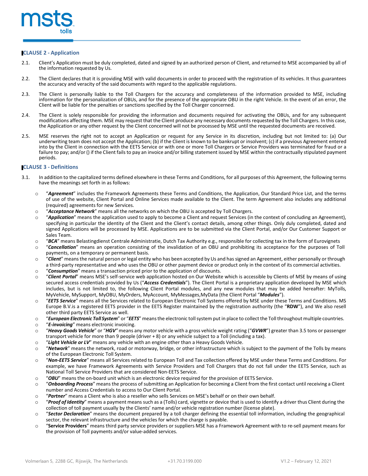

# **CLAUSE 2 - Application**

- 2.1. Client's Application must be duly completed, dated and signed by an authorized person of Client, and returned to MSE accompanied by all of the information requested by Us.
- 2.2. The Client declares that it is providing MSE with valid documents in order to proceed with the registration of its vehicles. It thus guarantees the accuracy and veracity of the said documents with regard to the applicable regulations.
- 2.3. The Client is personally liable to the Toll Chargers for the accuracy and completeness of the information provided to MSE, including information for the personalization of OBUs, and for the presence of the appropriate OBU in the right Vehicle. In the event of an error, the Client will be liable for the penalties or sanctions specified by the Toll Charger concerned.
- 2.4. The Client is solely responsible for providing the information and documents required for activating the OBUs, and for any subsequent modifications affecting them. MSE may request that the Client produce any necessary documents requested by the Toll Chargers. In this case, the Application or any other request by the Client concerned will not be processed by MSE until the requested documents are received.
- 2.5. MSE reserves the right not to accept an Application or request for any Service in its discretion, including but not limited to: (a) Our underwriting team does not accept the Application; (b) if the Client is known to be bankrupt or insolvent; (c) if a previous Agreement entered into by the Client in connection with the EETS Service or with one or more Toll Chargers or Service Providers was terminated for fraud or a failure to pay; and/or () if the Client fails to pay an invoice and/or billing statement issued by MSE within the contractually stipulated payment periods.

# **CLAUSE 3 - Definitions**

- 3.1. In addition to the capitalized terms defined elsewhere in these Terms and Conditions, for all purposes of this Agreement, the following terms have the meanings set forth in as follows:
	- o "*Agreement*" includes the Framework Agreements these Terms and Conditions, the Application, Our Standard Price List, and the terms of use of the website, Client Portal and Online Services made available to the Client. The term Agreement also includes any additional (required) agreements for new Services.
	- **"Acceptance Network"** means all the networks on which the OBU is accepted by Toll Chargers.<br>○ **"Application"** means the application used to apply to become a Client and request Services (in
	- "**Application**" means the application used to apply to become a Client and request Services (in the context of concluding an Agreement), specifying in particular the identity of the Client and the Client's contact details, among other things. Only duly completed, dated and signed Applications will be processed by MSE. Applications are to be submitted via the Client Portal, and/or Our Customer Support or Sales Team.
	- **"BCA**" means Belastingdienst Centrale Administratie, Dutch Tax Authority e.g., responsible for collecting tax in the form of Eurovignets of To<br>○ **"Cancellation**" means an operation consisting of the invalidation of an
	- "Cancellation" means an operation consisting of the invalidation of an OBU and prohibiting its acceptance for the purposes of Toll payments, on a temporary or permanent basis.
	- o "*Client*" meansthe natural person or legal entity who has been accepted by Us and has signed an Agreement, either personally or through a third-party representative and who uses the OBU or other payment device or product only in the context of its commercial activities.
	- o "*Consumption*" means a transaction priced prior to the application of discounts.
	- o "*Client Portal*" means MSE's self-service web application hosted on Our Website which is accessible by Clients of MSE by means of using secured access credentials provided by Us ("*Access Credentials*"). The Client Portal is a proprietary application developed by MSE which includes, but is not limited to, the following Client Portal modules, and any new modules that may be added hereafter: MyTolls, MyVehicle, MySupport, MyOBU, MyOrders, MyAccount, MyMessages,MyData (the Client Portal "*Modules*").
	- o "*EETS Service*" means all the Services related to European Electronic Toll Systems offered by MSE under these Terms and Conditions. MS Europe B.V.is a registered EETS provider in the EETS Register maintained by the registration authority (the "**RDW**"), and We also resell other third party EETS Service as well.
	- o "*European Electronic Toll System*" or "*EETS*"meansthe electronic tollsystem put in place to collect the Toll throughout multiple countries.
	- o "*E-invoicing*" means electronic invoicing.
	- o "*Heavy Goods Vehicle*" or "*HGV"* means any motor vehicle with a gross vehicle weight rating ("*GVWR*") greater than 3.5 tons or passenger transport vehicle for more than 9 people (driver + 8) or any vehicle subject to a Toll (including a tax).
	- o "*Light Vehicle or LV*" means any vehicle with an engine other than a Heavy Goods Vehicle.
	- o "*Network*" means the network, road or motorway, bridge, or other infrastructure which is subject to the payment of the Tolls by means of the European Electronic Toll System.
	- o "*Non-EETS Service*" means all Services related to European Toll and Tax collection offered by MSE under these Terms and Conditions. For example, we have Framework Agreements with Service Providers and Toll Chargers that do not fall under the EETS Service, such as National Toll Service Providers that are considered Non-EETS Service.
	- o "*OBU*" means the on-board unit which is an electronic device required for the provision of EETS Service.
	- o "*Onboarding Process*" means the process of submitting an Application for becoming a Client from the first contact until receiving a Client number and Access Credentials to access to Our Client Portal.
	- o "*Partner*" means a Client who is also a reseller who sells Services on MSE's behalf or on their own behalf.
	- o "*Proof of Identity*" means a payment means such as a (Tolls) card, vignette or device that is used to identify a driver thus Client during the collection of toll payment usually by the Clients' name and/or vehicle registration number (license plate).
	- o "*Sector Declaration*" means the document prepared by a toll charger defining the essential toll information, including the geographical sector, the relevant infrastructure and the vehicles for which the charge is payable.
	- o "**Service Providers**" means third party service providers or suppliers MSE has a Framework Agreement with to re-sell payment means for the provision of Toll payments and/or value-added services.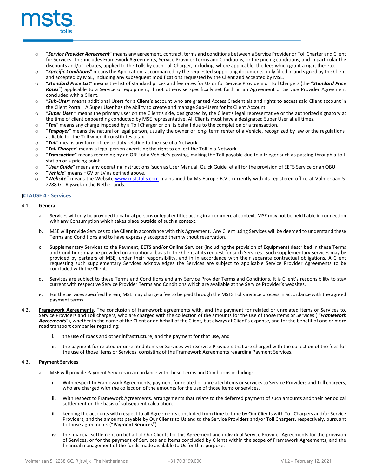

- o "*Service Provider Agreement*" means any agreement, contract, terms and conditions between a Service Provider or Toll Charter and Client for Services. This includes Framework Agreements, Service Provider Terms and Conditions, or the pricing conditions, and in particular the discounts and/or rebates, applied to the Tolls by each Toll Charger, including, where applicable, the fees which grant a right thereto.
- o "*Specific Conditions*" means the Application, accompanied by the requested supporting documents, duly filled in and signed by the Client and accepted by MSE, including any subsequent modifications requested by the Client and accepted by MSE.
- o "*Standard Price List*" means the list of standard prices and fee rates for Us or for Service Providers or Toll Chargers (the "*Standard Price Rates*") applicable to a Service or equipment, if not otherwise specifically set forth in an Agreement or Service Provider Agreement concluded with a Client.
- o "*Sub-User*" means additional Users for a Client's account who are granted Access Credentials and rights to access said Client account in the Client Portal. A Super User has the ability to create and manage Sub-Users for its Client Account.
- o "*Super User* " means the primary user on the Client's side, designated by the Client's legal representative or the authorized signatory at the time of client onboarding conducted by MSE representative. All Clients must have a designated Super User at all times.
- o "**Tax**" means any charge imposed by a Toll Charger or on its behalf due to the completion of a transaction.<br>○ "**Taxpaver**" means the natural or legal person, usually the owner or long-term renter of a Vehicle, recogn
- "Taxpayer" means the natural or legal person, usually the owner or long- term renter of a Vehicle, recognized by law or the regulations as liable for the Toll when it constitutes a tax.
- o "*Toll"* means any form of fee or duty relating to the use of a Network.<br>○ "*Toll Charaer*" means a legal person exercising the right to collect the
- o "*Toll Charger*" means a legal person exercising the right to collect the Toll in a Network.
- o "*Transaction*" means recording by an OBU of a Vehicle's passing, making the Toll payable due to a trigger such as passing through a toll station or a pricing point
- o "*User Guide*" means any operating instructions (such as User Manual, Quick Guide, et all for the provision of EETS Service or an OBU
- *"Vehicle"* means HGV or LV as defined above.<br>○ *"Website"* means the Website www.mststoll
- "Website" means the Website [www.mststolls.com](http://www.mststolls.com/) maintained by MS Europe B.V., currently with its registered office at Volmerlaan 5 2288 GC Rijswijk in the Netherlands.

## **CLAUSE 4 - Services**

#### 4.1. **General**.

- a. Services will only be provided to natural persons or legal entities acting in a commercial context. MSE may not be held liable in connection with any Consumption which takes place outside of such a context.
- b. MSE will provide Services to the Client in accordance with this Agreement. Any Client using Services will be deemed to understand these Terms and Conditions and to have expressly accepted them without reservation.
- c. Supplementary Services to the Payment, EETS and/or Online Services (including the provision of Equipment) described in these Terms and Conditions may be provided on an optional basis to the Client at its request for such Services. Such supplementary Services may be provided by partners of MSE, under their responsibility, and in in accordance with their separate contractual obligations. A Client requesting such supplementary Services acknowledges the Services are subject to applicable Service Provider Agreements to be concluded with the Client.
- d. Services are subject to these Terms and Conditions and any Service Provider Terms and Conditions. It is Client's responsibility to stay current with respective Service Provider Terms and Conditions which are available at the Service Provider's websites.
- e. For the Services specified herein, MSE may charge a fee to be paid through the MSTS Tolls invoice process in accordance with the agreed payment terms
- 4.2. **Framework Agreements**. The conclusion of framework agreements with, and the payment for related or unrelated items or Services to, Service Providers and Toll chargers, who are charged with the collection of the amounts for the use of those items or Services ( "*Framework* Agreements"), whether in the name of the Client or on behalf of the Client, but always at Client's expense, and for the benefit of one or more road transport companies regarding:
	- i. the use of roads and other infrastructure, and the payment for that use, and
	- ii. the payment for related or unrelated items or Services with Service Providers that are charged with the collection of the fees for the use of those items or Services, consisting of the Framework Agreements regarding Payment Services.

## 4.3. **Payment Services**.

- a. MSE will provide Payment Services in accordance with these Terms and Conditions including:
	- i. With respect to Framework Agreements, payment for related or unrelated items or services to Service Providers and Toll chargers, who are charged with the collection of the amounts for the use of those items or services,
	- ii. With respect to Framework Agreements, arrangements that relate to the deferred payment of such amounts and their periodical settlement on the basis of subsequent calculation.
	- iii. keeping the accounts with respect to all Agreements concluded from time to time by Our Clients with Toll Chargers and/or Service Providers, and the amounts payable by Our Clients to Us and to the Service Providers and/or Toll Chargers, respectively, pursuant to those agreements ("**Payment Services**"),
	- iv. the financial settlement on behalf of Our Clients for this Agreement and individual Service Provider Agreements for the provision of Services, or for the payment of Services and items concluded by Clients within the scope of Framework Agreements, and the financial management of the funds made available to Us for that purpose.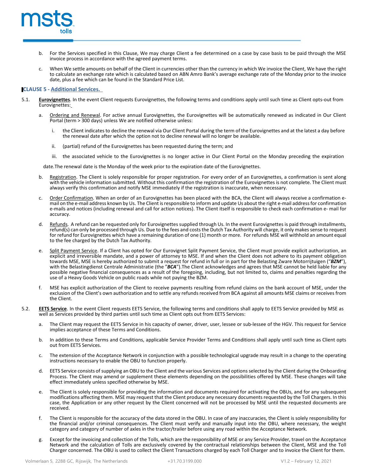

- For the Services specified in this Clause, We may charge Client a fee determined on a case by case basis to be paid through the MSE invoice process in accordance with the agreed payment terms.
- c. When We settle amounts on behalf of the Client in currencies other than the currency in which We invoice the Client, We have the right to calculate an exchange rate which is calculated based on ABN Amro Bank's average exchange rate of the Monday prior to the invoice date, plus a fee which can be found in the Standard Price List.

## **CLAUSE 5 - Additional Services.**

- 5.1. **Eurovignettes**. In the event Client requests Eurovignettes, the following terms and conditions apply until such time as Client opts-out from Eurovignettes:
	- a. Ordering and Renewal. For active annual Eurovignettes, the Eurovignettes will be automatically renewed as indicated in Our Client Portal (term > 300 days) unless We are notified otherwise unless:
		- i. the Client indicates to decline the renewal via Our Client Portal during the term of the Eurovignettes and at the latest a day before the renewal date after which the option not to decline renewal will no longer be available.
		- ii. (partial) refund of the Eurovignettes has been requested during the term; and
		- iii. the associated vehicle to the Eurovignettes is no longer active in Our Client Portal on the Monday preceding the expiration

date.The renewal date is the Monday of the week prior to the expiration date of the Eurovignettes.

- Registration. The Client is solely responsible for proper registration. For every order of an Eurovignettes, a confirmation is sent along with the vehicle information submitted. Without this confirmation the registration of the Eurovignettes is not complete. The Client must always verify this confirmation and notify MSE immediately if the registration is inaccurate, when necessary.
- Order Confirmation. When an order of an Eurovignettes has been placed with the BCA, the Client will always receive a confirmation email on the e-mail address known by Us. The Client isresponsible to inform and update Us about the right e-mail addressfor confirmation e-mails and notices (including renewal and call for action notices). The Client itself is responsible to check each confirmation e- mail for accuracy.
- d. Refunds. A refund can be requested only for Eurovignettes supplied through Us. In the event Eurovignettes is paid through installments, refund(s) can only be processed through Us. Due to the fees and coststhe Dutch Tax Authority will charge, it only makessense to request for refund for Eurovignettes which have a remaining duration of one (1) month or more. For refunds MSE will withhold an amount equal to the fee charged by the Dutch Tax Authority.
- e. Split Payment Service. If a Client has opted for Our Eurovignet Split Payment Service, the Client must provide explicit authorization, an explicit and irreversible mandate, and a power of attorney to MSE. If and when the Client does not adhere to its payment obligation towards MSE, MSE is hereby authorized to submit a request for refund in full or in part for the Belasting Zware Motorrijtuigen ("*BZM*"), with the Belastingdienst Centrale Administratie (the "*BCA*").The Client acknowledges and agrees that MSE cannot be held liable for any possible negative financial consequences as a result of the foregoing, including, but not limited to, claims and penalties regarding the use of a Heavy Goods Vehicle on public roads while not paying the BZM.
- f. MSE has explicit authorization of the Client to receive payments resulting from refund claims on the bank account of MSE, under the exclusion of the Client's own authorization and to settle any refunds received from BCA against all amounts MSE claims or receives from the Client.
- 5.2. **EETS Service**. In the event Client requests EETS Service, the following terms and conditions shall apply to EETS Service provided by MSE as well as Services provided by MSE as well as Services provided by third parti
	- a. The Client may request the EETS Service in his capacity of owner, driver, user, lessee or sub-lessee of the HGV. This request for Service implies acceptance of these Terms and Conditions.
	- b. In addition to these Terms and Conditions, applicable Service Provider Terms and Conditions shall apply until such time as Client opts out from EETS Services.
	- c. The extension of the Acceptance Network in conjunction with a possible technological upgrade may result in a change to the operating instructions necessary to enable the OBU to function properly.
	- EETS Service consists of supplying an OBU to the Client and the various Services and options selected by the Client during the Onboarding Process. The Client may amend or supplement these elements depending on the possibilities offered by MSE. These changes will take effect immediately unless specified otherwise by MSE.
	- e. The Client is solely responsible for providing the information and documents required for activating the OBUs, and for any subsequent modifications affecting them. MSE may request that the Client produce any necessary documents requested by the Toll Chargers. In this case, the Application or any other request by the Client concerned will not be processed by MSE until the requested documents are received.
	- f. The Client is responsible for the accuracy of the data stored in the OBU. In case of any inaccuracies, the Client is solely responsibility for the financial and/or criminal consequences. The Client must verify and manually input into the OBU, where necessary, the weight category and category of number of axles in the tractor/trailer before using any road within the Acceptance Network.
	- g. Except for the invoicing and collection of the Tolls, which are the responsibility of MSE or any Service Provider, travel on the Acceptance Network and the calculation of Tolls are exclusively covered by the contractual relationships between the Client, MSE and the Toll Charger concerned. The OBU is used to collect the Client Transactions charged by each Toll Charger and to invoice the Client for them.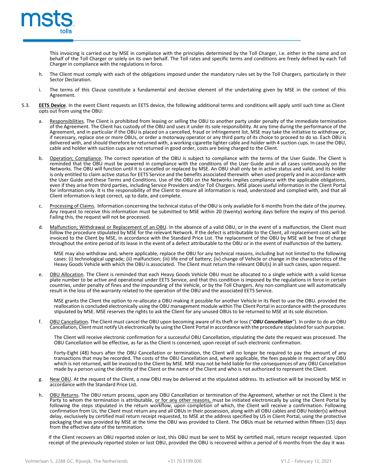

This invoicing is carried out by MSE in compliance with the principles determined by the Toll Charger, i.e. either in the name and on behalf of the Toll Charger or solely on its own behalf. The Toll rates and specific terms and conditions are freely defined by each Toll Charger in compliance with the regulations in force.

- The Client must comply with each of the obligations imposed under the mandatory rules set by the Toll Chargers, particularly in their Sector Declaration.
- i. The terms of this Clause constitute a fundamental and decisive element of the undertaking given by MSE in the context of this Agreement.
- 5.3. **EETS Device**. In the event Client requests an EETS device, the following additional terms and conditions will apply until such time as Client opts out from using the OBU:
	- Responsibilities. The Client is prohibited from leasing or selling the OBU to another party under penalty of the immediate termination of the Agreement. The Client has custody of the OBU and uses it under its sole responsibility. At any time during the performance of the Agreement, and in particular if the OBU is placed on a cancelled, fraud or infringement list, MSE may take the initiative to withdraw or, if necessary, replace one or more OBUs, or order a motorway operator or any third party of its choice to proceed to do so. Each OBU is delivered with, and should therefore be returned with, a working cigarette lighter cable and holder with 4 suction cups. In case the OBU, cable and holder with suction cups are not returned in good order, costs are being charged to the Client.
	- b. Operation; Compliance. The correct operation of the OBU is subject to compliance with the terms of the User Guide. The Client is reminded that the OBU must be powered in compliance with the conditions of the User Guide Networks. The OBU will function until it is cancelled or replaced by MSE. An OBU shall only be in active status and valid, and its holder is only entitled to claim active status for EETS Service and the benefits associated therewith when used properly and in accordance with the User Guide and these Terms and Conditions. Use of the OBU on the Networks implies compliance with the applicable obligations, even if they arise from third parties, including Service Providers and/or Toll Chargers. MSE places useful information in the Client Portal for information only. It is the responsibility of the Client to ensure all information is read, understood and complied with, and that all Client information is kept correct, up to date, and complete.
	- Processing of Claims. Information concerning the technical status of the OBU is only available for 6 months from the date of the journey. Any request to receive this information must be submitted to MSE within 20 (twenty) working days before the expiry of this period. Failing this, the request will not be processed.
	- d. Malfunction; Withdrawal or Replacement of an OBU. In the absence of a valid OBU, or in the event of a malfunction, the Client must follow the procedure stipulated by MSE for the relevant Network. If the defect is attributable to the Client, all replacement costs will be invoiced to the Client by MSE, in accordance with the Standard Price List. The replacement of the OBU by MSE will be free of charge throughout the entire period of its lease in the event of a defect attributable to the OBU or in the event of malfunction of the battery.

MSE may also withdraw and, where applicable, replace the OBU for any technical reasons, including but not limited to the following<br>cases: (i) technological upgrade; (ii) malfunction; (iii) life end of battery; (iv) change Heavy Goods Vehicle with which the OBU is associated. The Client must return the relevant OBU(s) in all such cases, upon request.

e. OBU Allocation. The Client is reminded that each Heavy Goods Vehicle OBU must be allocated to a single vehicle with a valid license plate number to be active and operational under EETS Service, and that this condition is imposed by the regulations in force in certain countries, under penalty of fines and the impounding of the Vehicle, or by the Toll Chargers. Any non-compliant use will automatically result in the loss of the warranty related to the operation of the OBU and the associated EETS Service.

MSE grants the Client the option to re-allocate a OBU making it possible for another Vehicle in its fleet to use the OBU. provided the reallocation is concluded electronically using the OBU management module within The Client Portal in accordance with the procedures stipulated by MSE. MSE reserves the rights to ask the Client for any unused OBUs to be returned to MSE at its sole discretion.

f. OBU Cancellation. The Client must cancel the OBU upon becoming aware of its theft or loss ("*OBU Cancellation*"). In order to do an OBU Cancellation, Client must notify Us electronically by using the Client Portal in accordance with the procedure stipulated forsuch purpose.

The Client will receive electronic confirmation for a successful OBU Cancellation, stipulating the date the request was processed. The OBU Cancellation will be effective, as far as the Client is concerned, upon receipt of such electronic confirmation.

Forty-Eight (48) hours after the OBU Cancellation or termination, the Client will no longer be required to pay the amount of any transactions that may be recorded. The costs of the OBU Cancellation and, where applicable, the fees payable in respect of any OBU which is not returned, will be invoiced to the Client by MSE. MSE may not be held liable for the consequences of any OBU Cancellation made by a person using the identity of the Client or the name of the Client and who is not authorized to represent the Client.

- g. New OBU. At the request of the Client, a new OBU may be delivered at the stipulated address. Its activation will be invoiced by MSE in accordance with the Standard Price List.
- OBU Returns. The OBU return process, upon any OBU Cancellation or termination of the Agreement, whether or not the Client is the Party to whom the termination is attributable, or for any other reasons, must be initiated electronically by using the Client Portal by following the steps stipulated in the return workflow, upon completion of which, the Client will receive a confirmation. Following confirmation from Us, the Client must return any and all OBUs in their possession, along with all OBU cables and OBU holder(s) without delay, exclusively by certified mail return receipt requested, to MSE at the address specified by US in Client Portal, using the protective packaging that was provided by MSE at the time the OBU was provided to Client. The OBUs must be returned within fifteen (15) days from the effective date of the termination.

If the Client recovers an OBU reported stolen or lost, this OBU must be sent to MSE by certified mail, return receipt requested. Upon receipt of the previously reported stolen or lost OBU, provided the OBU is recovered within a period of 6 months from the day it was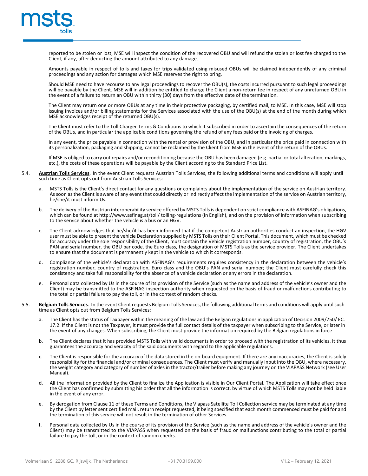

reported to be stolen or lost, MSE will inspect the condition of the recovered OBU and will refund the stolen or lost fee charged to the Client, if any, after deducting the amount attributed to any damage.

Amounts payable in respect of tolls and taxes for trips validated using misused OBUs will be claimed independently of any criminal proceedings and any action for damages which MSE reserves the right to bring.

Should MSE need to have recourse to any legal proceedings to recover the OBU(s), the costs incurred pursuant to such legal proceedings will be payable by the Client. MSE will in addition be entitled to charge the Client a non-return fee in respect of any unreturned OBU in the event of a failure to return an OBU within thirty (30) days from the effective date of the termination.

The Client may return one or more OBUs at any time in their protective packaging, by certified mail, to MSE. In this case, MSE will stop issuing invoices and/or billing statements for the Services associated with the use of the OBU(s) at the end of the month during which MSE acknowledges receipt of the returned OBU(s).

The Client must refer to the Toll Charger Terms & Conditions to which it subscribed in order to ascertain the consequences of the return of the OBUs, and in particular the applicable conditions governing the refund of any fees paid or the invoicing of charges.

In any event, the price payable in connection with the rental or provision of the OBU, and in particular the price paid in connection with its personalization, packaging and shipping, cannot be reclaimed by the Client from MSE in the event of the return of the OBUs.

If MSE is obliged to carry out repairs and/or reconditioning because the OBU has been damaged (e.g. partial or total alteration, markings, etc.), the costs of these operations will be payable by the Client according to the Standard Price List.

- 5.4. **Austrian Tolls Services**. In the event Client requests Austrian Tolls Services, the following additional terms and conditions will apply until such time as Client opts out from Austrian Tolls Services:
	- a. MSTS Tolls is the Client's direct contact for any questions or complaints about the implementation of the service on Austrian territory. As soon as the Client is aware of any event that could directly or indirectly affect the implementation of the service on Austrian territory, he/she/it must inform Us.
	- b. The delivery of the Austrian interoperability service offered by MSTS Tolls is dependent on strict compliance with ASFINAG's obligations, which can be found at <http://www.asfinag.at/toll/> tolling-regulations (in English), and on the provision of information when subscribing to the service about whether the vehicle is a bus or an HGV.
	- c. The Client acknowledges that he/she/it has been informed that if the competent Austrian authorities conduct an inspection, the HGV user must be able to present the vehicle Declaration supplied by MSTS Tolls on their Client Portal. This document, which must be checked for accuracy under the sole responsibility of the Client, must contain the Vehicle registration number, country of registration, the OBU's PAN and serial number, the OBU bar code, the Euro class, the designation of MSTS Tolls as the service provider. The Client undertakes to ensure that the document is permanently kept in the vehicle to which it corresponds.
	- d. Compliance of the vehicle's declaration with ASFINAG's requirements requires consistency in the declaration between the vehicle's registration number, country of registration, Euro class and the OBU's PAN and serial number; the Client must carefully check this consistency and take full responsibility for the absence of a vehicle declaration or any errors in the declaration.
	- Personal data collected by Us in the course of its provision of the Service (such as the name and address of the vehicle's owner and the Client) may be transmitted to the ASFINAG inspection authority when requested on the basis of fraud or malfunctions contributing to the total or partial failure to pay the toll, or in the context of random checks.
- 5.5. **Belgium Tolls Services**. In the event Client requests Belgium Tolls Services, the following additional terms and conditions will apply untilsuch time as Client opts out from Belgium Tolls Services:
	- a. The Client has the status of Taxpayer within the meaning of the law and the Belgian regulationsin application of Decision 2009/750/ EC. 17.2. If the Client is not the Taxpayer, it must provide the full contact details of the taxpayer when subscribing to the Service, or later in the event of any changes. When subscribing, the Client must provide the information required by the Belgian regulations in force
	- The Client declares that it has provided MSTS Tolls with valid documents in order to proceed with the registration of its vehicles. It thus guarantees the accuracy and veracity of the said documents with regard to the applicable regulations.
	- c. The Client is responsible for the accuracy of the data stored in the on-board equipment. If there are any inaccuracies, the Client is solely responsibility for the financial and/or criminal consequences. The Client must verify and manually input into the OBU, where necessary, the weight category and category of number of axles in the tractor/trailer before making any journey on the VIAPASS Network (see User Manual).
	- d. All the information provided by the Client to finalize the Application is visible in Our Client Portal. The Application will take effect once the Client has confirmed by submitting his order that all the information is correct, by virtue of which MSTS Tolls may not be held liable in the event of any error.
	- By derogation from Clause 11 of these Terms and Conditions, the Viapass Satellite Toll Collection service may be terminated at any time by the Client by letter sent certified mail, return receipt requested, it being specified that each month commenced must be paid for and the termination of this service will not result in the termination of other Services.
	- f. Personal data collected by Us in the course of its provision of the Service (such as the name and address of the vehicle's owner and the Client) may be transmitted to the VIAPASS when requested on the basis of fraud or malfunctions contributing to the total or partial failure to pay the toll, or in the context of random checks.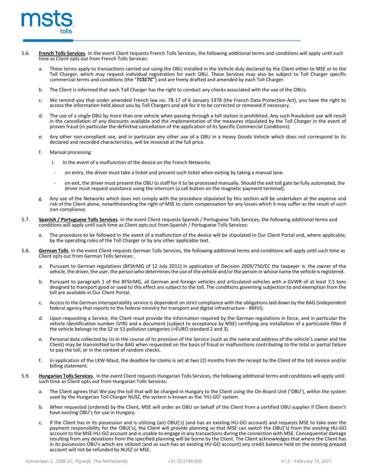

- 5.6. **French Tolls Services**. In the event Client requests French Tolls Services, the following additional terms and conditions will apply until such time as Client opts out from French Tolls Services:
	- a. These terms apply to transactions carried out using the OBU installed in the Vehicle duly declared by the Client either to MSE or to the Toll Charger, which may request individual registration for each OBU. These Services may also be subject to Toll Charger specific commercial terms and conditions (the "*TCSCTC*") and are freely drafted and amended by each Toll Charger.
	- b. The Client is informed that each Toll Charger has the right to conduct any checks associated with the use of the OBUs.
	- c. We remind you that under amended French law no. 78-17 of 6 January 1978 (the French Data Protection Act), you have the right to access the information held about you by Toll Chargers and ask for it to be corrected or re
	- d. The use of a single OBU by more than one vehicle when passing through a toll station is prohibited. Any such fraudulent use will result in the cancellation of any discounts available and the implementation of the measures stipulated by the Toll Charger in the event of proven fraud (in particular the definitive cancellation of the application of its Specific Commercial Conditions).
	- e. Any other non-compliant use, and in particular any other use of a OBU in a Heavy Goods Vehicle which does not correspond to its declared and recorded characteristics, will be invoiced at the full price.
	- f. Manual processing
		- i. In the event of a malfunction of the device on the French Networks:
			- on entry, the driver must take a ticket and present such ticket when exiting by taking a manual lane.
		- on exit, the driver must present the OBU to staff for it to be processed manually. Should the exit toll gate be fully automated, the driver must request assistance using the intercom (a call button on the magnetic payment terminal).
	- g. Any use of the Networks which does not comply with the procedure stipulated by this section will be undertaken at the expense and risk of the Client alone, notwithstanding the right of MSE to claim compensation for any losses which it may suffer as the result of such non-compliance.
- 5.7. **Spanish / Portuguese Tolls Services**. In the event Client requests Spanish / Portuguese Tolls Services, the following additional terms and conditions will apply until such time as Client opts out from Spanish / Portuguese Tolls Services:
	- a. The procedure to be followed in the event of a malfunction of the device will be stipulated in Our Client Portal and, where applicable, by the operating rules of the Toll Charger or by any other applicable text.
- 5.8. **German Tolls**. In the event Client requests German Tolls Services, the following additional terms and conditions will apply until such time as Client opts out from German Tolls Services:
	- a. Pursuant to German regulations (BFStrMG of 12 July 2011) in application of Decision 2009/750/EC the taxpayer is: the owner of the vehicle, the driver, the user, the person who determines the use of the vehicle and/or the person in whose name the vehicle is registered.
	- b. Pursuant to paragraph 1 of the BFStrMG, all German and foreign vehicles and articulated vehicles with a GVWR of at least 7,5 tons designed to transport good or used to this effect are subject to the toll. The conditions governing subjection to and exemption from the toll are available in Our Client Portal.
	- c. Accessto the German interoperability service is dependent on strict compliance with the obligations laid down by the BAG (independent federal agency that reports to the federal ministry for transport and digital infrastructure - BMVI).
	- d. Upon requesting a Service, the Client must provide the information required by the German regulations in force, and in particular the vehicle identification number (VIN) and a document (subject to acceptance by MSE) certifying any installation of a particulate filter if the vehicle belongs to the S2 or S3 pollution categories (=EURO standard 2 and 3).
	- e. Personal data collected by Us in the course of its provision of the Service (such as the name and address of the vehicle's owner and the Client) may be transmitted to the BAG when requested on the basis of fraud or malfunctions contributing to the total or partial failure to pay the toll, or in the context of random checks.
	- f. In application of the LKW-Maut, the deadline for claims is set at two (2) months from the receipt by the Client of the toll invoice and/or billing statement.
- 5.9. **Hungarian Tolls Services**. In the event Client requests Hungarian Tolls Services, the following additional terms and conditions will apply until such time as Client opts out from Hungarian Tolls Services:
	- a. The Client agrees that We pay the toll that will be charged in Hungary to the Client using the On-Board Unit ('OBU'), within the system used by the Hungarian Toll Charger NUSZ, the system is known as the 'HU-GO' system.
	- b. When requested (ordered) by the Client, MSE will order an OBU on behalf of the Client from a certified OBU supplier if Client doesn't have existing OBU's for use in Hungary.
	- c. If the Client has in its possession and is utilizing (an) OBU('s) (and has an existing HU-GO account) and requests MSE to take over the payment responsibility for the OBU('s), the Client will provide planning so that MSE can switch the OBU('s) from the existing HU-GO account to the MSE HU-GO account and is unable to engage in any transactions during the connection with MSE. Consequential damage resulting from any deviations from the specified planning will be borne by the Client. The Client acknowledges that where the Client has in its possession OBU's which are utilized (and as such has an existing HU-GO account) any credit balance held on the existing prepaid account will not be refunded by NUSZ or MSE.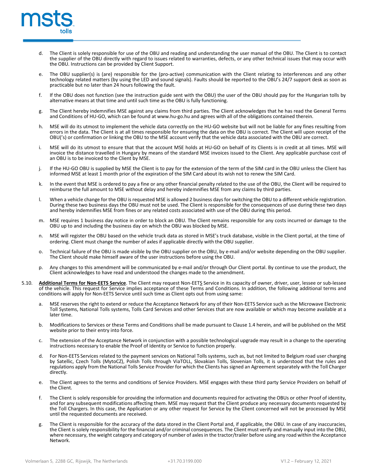

- d. The Client is solely responsible for use of the OBU and reading and understanding the user manual of the OBU. The Client is to contact the supplier of the OBU directly with regard to issues related to warranties, defects, or any other technical issues that may occur with the OBU. Instructions can be provided by Client Support.
- The OBU supplier(s) is (are) responsible for the (pro-active) communication with the Client relating to interferences and any other technology related matters (by using the LED and sound signals). Faults should be reported to the OBU's 24/7 support desk as soon as practicable but no later than 24 hours following the fault.
- f. If the OBU does not function (see the instruction guide sent with the OBU) the user of the OBU should pay for the Hungarian tolls by alternative means at that time and until such time as the OBU is fully functioning.
- g. The Client hereby indemnifies MSE against any claims from third parties. The Client acknowledges that he has read the General Terms and Conditions of HU-GO, which can be found at [www.hu-go.hu](http://www.hu-go.hu/) and agrees with all of the obligations contained therein.
- h. MSE will do its utmost to implement the vehicle data correctly on the HU-GO website but will not be liable for any fines resulting from errors in the data. The Client is at all times responsible for ensuring the data on the OBU is correct. The Client will upon receipt of the OBU('s) or confirmation or linking the OBU to the MSE account verify that the vehicle data associated with the OBU are correct.
- i. MSE will do its utmost to ensure that that the account MSE holds at HU-GO on behalf of its Clients is in credit at all times. MSE will invoice the distance travelled in Hungary by means of the standard MSE invoices issued to the Client. Any applicable purchase cost of an OBU is to be invoiced to the Client by MSE.
- j. If the HU-GO OBU is supplied by MSE the Client is to pay for the extension of the term of the SIM card in the OBU unless the Client has informed MSE at least 1 month prior of the expiration of the SIM Card about its wish not to renew the SIM Card.
- k. In the event that MSE is ordered to pay a fine or any other financial penalty related to the use of the OBU, the Client will be required to reimburse the full amount to MSE without delay and hereby indemnifies MSE from any claims by third parties.
- l. When a vehicle change for the OBU isrequested MSE is allowed 2 business days for switching the OBU to a different vehicle registration. During these two business days the OBU must not be used. The Client is responsible for the consequences of use during these two days and hereby indemnifies MSE from fines or any related costs associated with use of the OBU during this period.
- m. MSE requires 1 business day notice in order to block an OBU. The Client remains responsible for any costs incurred or damage to the OBU up to and including the business day on which the OBU was blocked by MSE.
- n. MSE will register the OBU based on the vehicle truck data as stored in MSE's truck database, visible in the Client portal, at the time of ordering. Client must change the number of axles if applicable directly with the OBU supplier.
- o. Technical failure of the OBU is made visible by the OBU supplier on the OBU, by e-mail and/or website depending on the OBU supplier. The Client should make himself aware of the user instructions before using the OBU.
- p. Any changes to this amendment will be communicated by e-mail and/or through Our Client portal. By continue to use the product, the Client acknowledges to have read and understood the changes made to the amendment.
- 5.10. **Additional Terms for Non-EETS Service**. The Client may request Non-EETS Service in its capacity of owner, driver, user, lessee or sub-lessee of the vehicle. This request for Service implies acceptance of these Terms and Conditions. In addition, the following additional terms and conditions will apply for Non-EETS Service until such time as Client opts out from using same:
	- a. MSE reserves the right to extend or reduce the Acceptance Network for any of their Non-EETS Service such as the Microwave Electronic Toll Systems, National Tolls systems, Tolls Card Services and other Services that are now available or which may become available at a later time.
	- b. Modifications to Services or these Terms and Conditions shall be made pursuant to Clause 1.4 herein, and will be published on the MSE website prior to their entry into force.
	- c. The extension of the Acceptance Network in conjunction with a possible technological upgrade may result in a change to the operating instructions necessary to enable the Proof of Identity or Service to function properly.
	- d. For Non-EETS Services related to the payment services on National Tolls systems, such as, but not limited to Belgium road user charging by Satellic, Czech Tolls (MytoCZ), Polish Tolls through ViaTOLL, Slovakian Tolls, Slovenian Tolls, it is understood that the rules and regulations apply from the National Tolls Service Provider for which the Clients has signed an Agreementseparately with the Toll Charger directly.
	- e. The Client agrees to the terms and conditions of Service Providers. MSE engages with these third party Service Providers on behalf of the Client.
	- f. The Client is solely responsible for providing the information and documents required for activating the OBUs or other Proof of identity, and for any subsequent modifications affecting them. MSE may request that the Client produce any necessary documents requested by the Toll Chargers. In this case, the Application or any other request for Service by the Client concerned will not be processed by MSE until the requested documents are received.
	- The Client is responsible for the accuracy of the data stored in the Client Portal and, if applicable, the OBU. In case of any inaccuracies, the Client is solely responsibility for the financial and/or criminal consequences. The Client must verify and manually input into the OBU, where necessary, the weight category and category of number of axlesin the tractor/trailer before using any road within the Acceptance Network.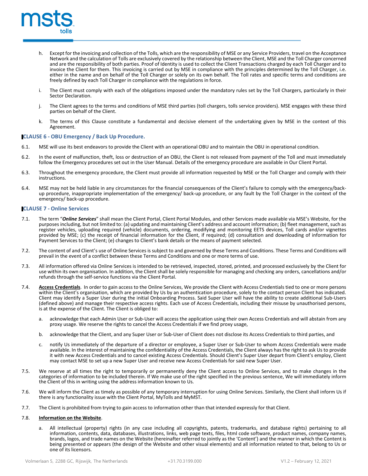

- h. Except for the invoicing and collection of the Tolls, which are the responsibility of MSE or any Service Providers, travel on the Acceptance Network and the calculation of Tolls are exclusively covered by the relationship between the Client, MSE and the Toll Charger concerned and are the responsibility of both parties. Proof of Identity is used to collect the Client Transactions charged by each Toll Charger and to invoice the Client for them. This invoicing is carried out by MSE in compliance with the principles determined by the Toll Charger, i.e. either in the name and on behalf of the Toll Charger or solely on its own behalf. The Toll rates and specific terms and conditions are freely defined by each Toll Charger in compliance with the regulations in force.
- i. The Client must comply with each of the obligations imposed under the mandatory rules set by the Toll Chargers, particularly in their Sector Declaration.
- j. The Client agrees to the terms and conditions of MSE third parties (toll chargers, tolls service providers). MSE engages with these third parties on behalf of the Client.
- The terms of this Clause constitute a fundamental and decisive element of the undertaking given by MSE in the context of this Agreement.

# **CLAUSE 6 - OBU Emergency / Back Up Procedure.**

- 6.1. MSE will use its best endeavors to provide the Client with an operational OBU and to maintain the OBU in operational condition.
- 6.2. In the event of malfunction, theft, loss or destruction of an OBU, the Client is not released from payment of the Toll and must immediately follow the Emergency procedures set out in the User Manual. Details of the emergency procedure are available in Our Client Portal.
- 6.3. Throughout the emergency procedure, the Client must provide all information requested by MSE or the Toll Charger and comply with their instructions.
- 6.4. MSE may not be held liable in any circumstances for the financial consequences of the Client's failure to comply with the emergency/backup procedure, inappropriate implementation of the emergency/ back-up procedure, or any fault by the Toll Charger in the context of the emergency/ back-up procedure.

## **CLAUSE 7 - Online Services**

- 7.1. The term "*Online Services*" shall mean the Client Portal, Client Portal Modules, and other Services made available via MSE's Website, for the purposes including, but not limited to: (a) updating and maintaining Client's address and account information; (b) fleet management, such as register vehicles, uploading required (vehicle) documents, ordering, modifying and monitoring EETS devices, Toll cards and/or vignettes provided by MSE; (c) the receipt of financial information for the Client, if required; (d) consultation and downloading of information for Payment Services to the Client; (e) changes to Client's bank details or the means of payment selected.
- 7.2. The content of and Client's use of Online Services is subject to and governed by these Terms and Conditions. These Terms and Conditions will prevail in the event of a conflict between these Terms and Conditions and one or more terms of use.
- 7.3. All information offered via Online Services is intended to be retrieved, inspected, stored, printed, and processed exclusively by the Client for use within its own organisation. In addition, the Client shall be solely responsible for managing and checking any orders, cancellations and/or refunds through the self-service functions via the Client Portal.
- 7.4. **Access Credentials**. In order to gain access to the Online Services, We provide the Client with Access Credentials tied to one or more persons within the Client's organisation, which are provided by Us by an authentication procedure, solely to the contact person Client has indicated. Client may identify a Super User during the initial Onboarding Process. Said Super User will have the ability to create additional Sub-Users (defined above) and manage their respective access rights. Each use of Access Credentials, including their misuse by unauthorised persons, is at the expense of the Client. The Client is obliged to:
	- a. acknowledge that each Admin User or Sub-User will access the application using their own Access Credentials and will abstain from any proxy usage. We reserve the rights to cancel the Access Credentials if we find proxy usage,
	- b. acknowledge that the Client, and any Super User or Sub-User of Client does not disclose its Access Credentials to third parties, and
	- c. notify Us immediately of the departure of a director or employee, a Super User or Sub-User to whom Access Credentials were made available. In the interest of maintaining the confidentiality of the Access Credentials, the Client always has the right to ask Us to provide it with new Access Credentials and to cancel existing Access Credentials. Should Client's Super User depart from Client's employ, Client may contact MSE to set up a new Super User and receive new Access Credentials for said new Super User.
- 7.5. We reserve at all times the right to temporarily or permanently deny the Client access to Online Services, and to make changes in the categories of information to be included therein. If We make use of the right specified in the previous sentence, We will immediately inform<br>the Client of this in writing using the address information known to Us.
- 7.6. We will inform the Client as timely as possible of any temporary interruption for using Online Services. Similarly, the Client shall inform Us if there is any functionality issue with the Client Portal, MyTolls and MyMST.
- 7.7. The Client is prohibited from trying to gain access to information other than that intended expressly for that Client.

# 7.8. **Information on the Website**.

All intellectual (property) rights (in any case including all copyrights, patents, trademarks, and database rights) pertaining to all information, contents, data, databases, illustrations, links, web page texts, files, html code software, product names, company names, brands, logos, and trade names on the Website (hereinafter referred to jointly as the 'Content') and the manner in which the Content is being presented or appears (the design of the Website and other visual elements) and all information related to that, belong to Us or one of its licensors.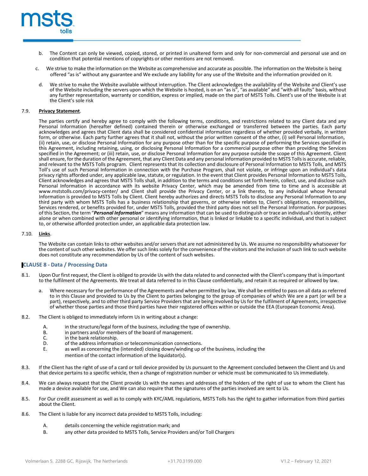

- b. The Content can only be viewed, copied, stored, or printed in unaltered form and only for non-commercial and personal use and on condition that potential mentions of copyrights or other mentions are not removed.
- c. We strive to make the information on the Website as comprehensive and accurate as possible. The information on the Website is being offered "as is" without any guarantee and We exclude any liability for any use of the Website and the information provided on it.
- d. We strive to make the Website available without interruption. The Client acknowledges the availability of the Website and Client's use of the Website including the servers upon which the Website is hosted, is on an "as is", "as available" and "with all faults" basis, without any further representation, warranty or condition, express or implied, made on the part of MSTS Tolls. Client's use of the Website is at the Client's sole risk

#### 7.9. **Privacy Statement**.

The parties certify and hereby agree to comply with the following terms, conditions, and restrictions related to any Client data and any Personal Information (hereafter defined) contained therein or otherwise exchanged or transferred between the parties. Each party acknowledges and agrees that Client data shall be considered confidential information regardless of whether provided verbally, in written form, or otherwise. Each party further agrees that it shall not, without the prior written consent of the other, (i) sell Personal Information, (ii) retain, use, or disclose Personal Information for any purpose other than for the specific purpose of performing the Services specified in this Agreement, including retaining, using, or disclosing Personal Information for a commercial purpose other than providing the Services specified in the Agreement; or (iii) retain, use, or disclose Personal Information for any purpose outside the scope of this Agreement. Client shall ensure, forthe duration of the Agreement, that any Client Data and any personal information provided to MSTS Tollsis accurate, reliable, and relevant to the MSTS Tolls program. Client represents that its collection and disclosure of Personal Information to MSTS Tolls, and MSTS Toll's use of such Personal Information in connection with the Purchase Program, shall not violate, or infringe upon an individual's data privacy rights afforded under, any applicable law, statute, or regulation. In the event that Client provides Personal Information to MSTS Tolls, Client acknowledges and agrees that MSTS Tolls shall, in addition to the terms and conditions set forth herein, collect, use, and disclose such Personal Information in accordance with its website Privacy Center, which may be amended from time to time and is accessible at [www.mststolls.com/privacy-center/](http://www.mststolls.com/privacy-center/) and Client shall provide the Privacy Center, or a link thereto, to any individual whose Personal Information is provided to MSTS Tolls by Client. Client hereby authorizes and directs MSTS Tolls to disclose any Personal Information to any third party with whom MSTS Tolls has a business relationship that governs, or otherwise relates to, Client's obligations, responsibilities, Services rendered, or benefits provided for, under MSTS Tolls, provided the third party does not sell the Personal Information. For purposes of this Section, the term "*Personal Information*" means any information that can be used to distinguish or trace an individual'sidentity, either alone or when combined with other personal or identifying information, that is linked or linkable to a specific individual, and that is subject to, or otherwise afforded protection under, an applicable data protection law.

## 7.10. **Links**.

The Website can contain links to other websites and/or servers that are not administered by Us. We assume no responsibility whatsoever for the content ofsuch other websites. We offer such links solely for the convenience of the visitors and the inclusion of such link to such website does not constitute any recommendation by Us of the content of such websites.

## **CLAUSE 8 - Data / Processing Data**

- 8.1. Upon Our first request, the Client is obliged to provide Us with the data related to and connected with the Client's company that isimportant to the fulfilment of the Agreements. We treat all data referred to in this Clause confidentially, and retain it as required or allowed by law.
	- Where necessary for the performance of the Agreements and when permitted by law, We shall be entitled to pass on all data as referred to in this Clause and provided to Us by the Client to parties belonging to the group of companies of which We are a part (or will be a part), respectively, and to other third party Service Providersthat are being involved by Us for the fulfilment of Agreements, irrespective of whether those parties and those third parties have their registered offices within or outside the EEA (European Economic Area).
- 8.2. The Client is obliged to immediately inform Us in writing about a change:
	- A. in the structure/legal form of the business, including the type of ownership.<br>B. in partners and/or members of the board of management
	- B. in partners and/or members of the board of management.<br>C. in the bank relationship.
	- C. in the bank relationship.<br>D. of the address information
	- D. of the address information or telecommunication connections.<br>E. as well as concerning the (intended) closing down/winding up on
	- as well as concerning the (intended) closing down/winding up of the business, including the mention of the contact information of the liquidator(s).
- 8.3. If the Client has the right of use of a card or toll device provided by Us pursuant to the Agreement concluded between the Client and Us and that device pertains to a specific vehicle, then a change of registration number or vehicle must be communicated to Us immediately.
- 8.4. We can always request that the Client provide Us with the names and addresses of the holders of the right of use to whom the Client has made a device available for use, and We can also require that the signatures of the parties involved are sent to Us.
- 8.5. For Our credit assessment as well as to comply with KYC/AML regulations, MSTS Tolls has the right to gather information from third parties about the Client.
- 8.6. The Client is liable for any incorrect data provided to MSTS Tolls, including:
	- A. details concerning the vehicle registration mark; and
	- B. any other data provided to MSTS Tolls, Service Providers and/or Toll Chargers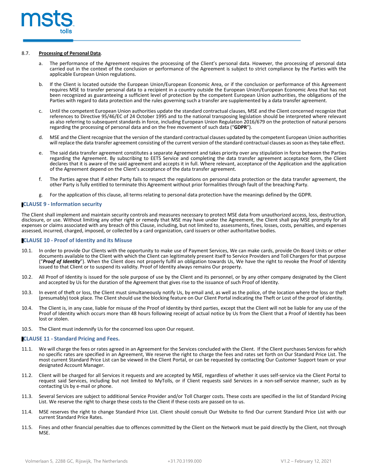

#### 8.7. **Processing of Personal Data**.

- a. The performance of the Agreement requires the processing of the Client's personal data. However, the processing of personal data carried out in the context of the conclusion or performance of the Agreement is subject to strict compliance by the Parties with the applicable European Union regulations.
- b. If the Client is located outside the European Union/European Economic Area, or if the conclusion or performance of this Agreement requires MSE to transfer personal data to a recipient in a country outside the European Union/European Economic Area that has not been recognized as guaranteeing a sufficient level of protection by the competent European Union authorities, the obligations of the Parties with regard to data protection and the rules governing such a transfer are supplemented by a data transfer agreement.
- c. Until the competent European Union authorities update the standard contractual clauses, MSE and the Client concerned recognize that references to Directive 95/46/EC of 24 October 1995 and to the national transposing legislation should be interpreted where relevant as also referring to subsequent standards in force, including European Union Regulation 2016/679 on the protection of natural persons regarding the processing of personal data and on the free movement of such data ("**GDPR**").
- d. MSE and the Client recognize that the version of the standard contractual clauses updated by the competent European Union authorities will replace the data transfer agreement consisting of the current version of the standard contractual clauses assoon asthey take effect.
- e. The said data transfer agreement constitutes a separate Agreement and takes priority over any stipulation in force between the Parties regarding the Agreement. By subscribing to EETS Service and completing the data transfer agreement acceptance form, the Client declares that it is aware of the said agreement and accepts it in full. Where relevant, acceptance of the Application and the application of the Agreement depend on the Client's acceptance of the data transfer agreement.
- f. The Parties agree that if either Party fails to respect the regulations on personal data protection or the data transfer agreement, the other Party is fully entitled to terminate this Agreement without prior formalities through fault of the breaching Party.
- g. For the application of this clause, all terms relating to personal data protection have the meanings defined by the GDPR.

## **CLAUSE 9 - Information security**

The Client shall implement and maintain security controls and measures necessary to protect MSE data from unauthorized access, loss, destruction, disclosure, or use. Without limiting any other right or remedy that MSE may have under the Agreement, the Client shall pay MSE promptly for all expenses or claims associated with any breach of this Clause, including, but not limited to, assessments, fines, losses, costs, penalties, and expenses assessed, incurred, charged, imposed, or collected by a card organization, card issuers or other authoritative bodies.

#### **CLAUSE 10 - Proof of Identity and its Misuse**

- 10.1. In order to provide Our Clients with the opportunity to make use of Payment Services, We can make cards, provide On Board Units or other documents available to the Client with which the Client can legitimately present itself to Service Providers and Toll Chargers for that purpose ("*Proof of Identity*"). When the Client does not properly fulfil an obligation towards Us, We have the right to revoke the Proof of Identity issued to that Client or to suspend its validity. Proof of Identity always remains Our property.
- 10.2. All Proof of Identity is issued for the sole purpose of use by the Client and its personnel, or by any other company designated by the Client and accepted by Us for the duration of the Agreement that gives rise to the issuance of such Proof of Identity.
- 10.3. In event of theft or loss, the Client must simultaneously notify Us, by email and, as well as the police, of the location where the loss or theft (presumably) took place. The Client should use the blocking feature on Our Client Portal indicating the Theft or Lost of the proof of identity.
- 10.4. The Client is, in any case, liable for misuse of the Proof of Identity by third parties, except that the Client will not be liable for any use of the Proof of Identity which occurs more than 48 hours following receipt of actual notice by Us from the Client that a Proof of Identity has been lost or stolen.
- 10.5. The Client must indemnify Us for the concerned loss upon Our request.

## **CLAUSE 11 - Standard Pricing and Fees.**

- 11.1. We will charge the fees or rates agreed in an Agreement for the Services concluded with the Client. If the Client purchases Services for which no specific rates are specified in an Agreement, We reserve the right to charge the fees and rates set forth on Our Standard Price List. The most current Standard Price List can be viewed in the Client Portal, or can be requested by contacting Our Customer Support team or your designated Account Manager.
- 11.2. Client will be charged for all Services it requests and are accepted by MSE, regardless of whether it uses self-service via the Client Portal to request said Services, including but not limited to MyTolls, or if Client requests said Services in a non-self-service manner, such as by contacting Us by e-mail or phone.
- 11.3. Several Services are subject to additional Service Provider and/or Toll Charger costs. These costs are specified in the list of Standard Pricing List. We reserve the right to charge these costs to the Client if these costs are passed on to us.
- 11.4. MSE reserves the right to change Standard Price List. Client should consult Our Website to find Our current Standard Price List with our current Standard Price Rates.
- 11.5. Fines and other financial penalties due to offences committed by the Client on the Network must be paid directly by the Client, not through MSE.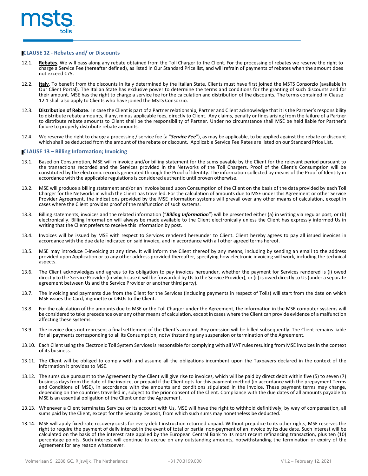

## **CLAUSE 12 - Rebates and/ or Discounts**

- 12.1. **Rebates**. We will pass along any rebate obtained from the Toll Charger to the Client. For the processing of rebates we reserve the right to charge a Service Fee (hereafter defined), as listed in Our Standard Price list, and will refrain of payments of rebates when the amount does not exceed €75.
- 12.2. **Italy**. To benefit from the discounts in Italy determined by the Italian State, Clients must have first joined the MSTS Consorzio (available in Our Client Portal). The Italian State has exclusive power to determine the terms and conditions for the granting of such discounts and for their amount. MSE has the right to charge a service fee for the calculation and distribution of the discounts. The terms contained in Clause 12.1 shall also apply to Clients who have joined the MSTS Consorzio.
- 12.3. **Distribution of Rebate**. In case the Client is part of a Partner relationship, Partner and Client acknowledge that it isthe Partner'sresponsibility to distribute rebate amounts, if any, minus applicable fees, directly to Client. Any claims, penalty or fines arising from the failure of a Partner to distribute rebate amounts to Client shall be the responsibility of Partner. Under no circumstance shall MSE be held liable for Partner's failure to properly distribute rebate amounts.
- 12.4. We reserve the right to charge a processing / service fee (a "*Service Fee*"), as may be applicable, to be applied against the rebate or discount which shall be deducted from the amount of the rebate or discount. Applicable Service Fee Rates are listed on our Standard Price List.

## **CLAUSE 13 – Billing Information; Invoicing**

- 13.1. Based on Consumption, MSE will n invoice and/or billing statement for the sums payable by the Client for the relevant period pursuant to the transactions recorded and the Services provided in the Networks of the Toll Chargers. Proof of the Client's Consumption will be constituted by the electronic records generated through the Proof of Identity. The information collected by means of the Proof of Identity in accordance with the applicable regulations is considered authentic until proven otherwise.
- 13.2. MSE will produce a billing statement and/or an invoice based upon Consumption of the Client on the basis of the data provided by each Toll Charger for the Networks in which the Client has travelled. For the calculation of amounts due to MSE under this Agreement or other Service Provider Agreement, the indications provided by the MSE information systems will prevail over any other means of calculation, except in cases where the Client provides proof of the malfunction of such systems.
- 13.3. Billing statements, invoices and the related information ("*Billing Information*") will be presented either (a) in writing via regular post; or (b) electronically. Billing Information will always be made available to the Client electronically unless the Client has expressly informed Us in writing that the Client prefers to receive this information by post.
- 13.4. Invoices will be issued by MSE with respect to Services rendered hereunder to Client. Client hereby agrees to pay all issued invoices in accordance with the due date indicated on said invoice, and in accordance with all other agreed terms hereof.
- 13.5. MSE may introduce E-invoicing at any time. It will inform the Client thereof by any means, including by sending an email to the address provided upon Application or to any other address provided thereafter, specifying how electronic invoicing will work, including the technical aspects.
- 13.6. The Client acknowledges and agrees to its obligation to pay invoices hereunder, whether the payment for Services rendered is (i) owed directly to the Service Provider (in which case it will be forwarded by Usto the Service Provider), or (ii) is owed directly to Us(under a separate agreement between Us and the Service Provider or another third party).
- 13.7. The invoicing and payments due from the Client for the Services (including payments in respect of Tolls) will start from the date on which MSE issues the Card, Vignnette or OBUs to the Client.
- 13.8. For the calculation of the amounts due to MSE or the Toll Charger under the Agreement, the information in the MSE computer systems will be considered to take precedence over any other means of calculation, except in cases where the Client can provide evidence of a malfunction affecting these systems.
- 13.9. The invoice does not represent a final settlement of the Client's account. Any omission will be billed subsequently. The Client remains liable for all payments corresponding to all its Consumption, notwithstanding any suspension or termination of the Agreement.
- 13.10. Each Client using the Electronic Toll System Servicesis responsible for complying with all VAT rules resulting from MSE invoices in the context of its business.
- 13.11. The Client will be obliged to comply with and assume all the obligations incumbent upon the Taxpayers declared in the context of the information it provides to MSE.
- 13.12. The sums due pursuant to the Agreement by the Client will give rise to invoices, which will be paid by direct debit within five (5) to seven (7) business days from the date of the invoice, or prepaid if the Client opts for this payment method (in accordance with the prepayment Terms and Conditions of MSE), in accordance with the amounts and conditions stipulated in the invoice. These payment terms may change, depending on the countries travelled in, subject to the prior consent of the Client. Compliance with the due dates of all amounts payable to MSE is an essential obligation of the Client under the Agreement.
- 13.13. Whenever a Client terminates Services or its account with Us, MSE will have the right to withhold definitively, by way of compensation, all sums paid by the Client, except for the Security Deposit, from which such sums may nonetheless be deducted.
- 13.14. MSE will apply fixed-rate recovery costs for every debit instruction returned unpaid. Without prejudice to its other rights, MSE reserves the right to require the payment of daily interest in the event of total or partial non-payment of an invoice by its due date. Such interest will be calculated on the basis of the interest rate applied by the European Central Bank to its most recent refinancing transaction, plus ten (10) percentage points. Such interest will continue to accrue on any outstanding amounts, notwithstanding the termination or expiry of the Agreement for any reason whatsoever.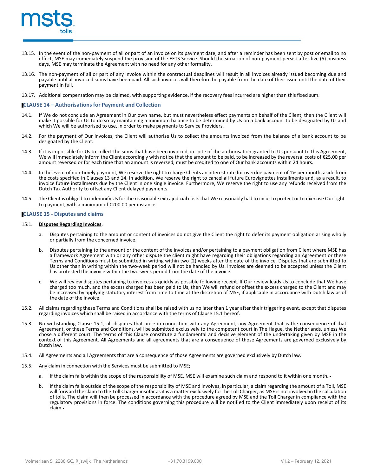

- 13.15. In the event of the non-payment of all or part of an invoice on its payment date, and after a reminder has been sent by post or email to no effect, MSE may immediately suspend the provision of the EETS Service. Should the situation of non-payment persist after five (5) business days, MSE may terminate the Agreement with no need for any other formality.
- 13.16. The non-payment of all or part of any invoice within the contractual deadlines will result in all invoices already issued becoming due and payable until all invoiced sums have been paid. All such invoices will therefore be payable from the date of their issue until the date of their payment in full.
- 13.17. Additional compensation may be claimed, with supporting evidence, if the recovery fees incurred are higher than this fixed sum.

#### **CLAUSE 14 – Authorisations for Payment and Collection**

- 14.1. If We do not conclude an Agreement in Our own name, but must nevertheless effect payments on behalf of the Client, then the Client will make it possible for Us to do so by maintaining a minimum balance to be determined by Us on a bank account to be designated by Us and which We will be authorised to use, in order to make payments to Service Providers.
- 14.2. For the payment of Our invoices, the Client will authorise Us to collect the amounts invoiced from the balance of a bank account to be designated by the Client.
- 14.3. If it is impossible for Us to collect the sums that have been invoiced, in spite of the authorisation granted to Us pursuant to this Agreement, We will immediately inform the Client accordingly with notice that the amount to be paid, to be increased by the reversal costs of €25.00 per amount reversed or for each time that an amount is reversed, must be credited to one of Our bank accounts within 24 hours.
- 14.4. In the event of non-timely payment, We reserve the right to charge Clients an interest rate for overdue payment of 1% per month, aside from the costs specified in Clauses 13 and 14. In addition, We reserve the right to cancel all future Eurovignettes installments and, as a result, to invoice future installments due by the Client in one single invoice. Furthermore, We reserve the right to use any refunds received from the Dutch Tax Authority to offset any Client delayed payments.
- 14.5. The Client is obliged to indemnify Usfor the reasonable extrajudicial coststhat We reasonably had to incur to protect or to exercise Our right to payment, with a minimum of €200.00 per instance.

## **CLAUSE 15 - Disputes and claims**

#### 15.1. **Disputes Regarding Invoices**.

- a. Disputes pertaining to the amount or content of invoices do not give the Client the right to defer its payment obligation arising wholly or partially from the concerned invoice.
- b. Disputes pertaining to the amount or the content of the invoices and/or pertaining to a payment obligation from Client where MSE has a framework Agreement with or any other dispute the client might have regarding their obligations regarding an Agreement or these Terms and Conditions must be submitted in writing within two (2) weeks after the date of the invoice. Disputes that are submitted to Us other than in writing within the two-week period will not be handled by Us. Invoices are deemed to be accepted unless the Client has protested the invoice within the two-week period from the date of the invoice.
- We will review disputes pertaining to invoices as quickly as possible following receipt. If Our review leads Us to conclude that We have charged too much, and the excess charged has been paid to Us, then We will refund or offset the excess charged to the Client and may be increased by applying statutory interest from time to time at the discretion of MSE, if applicable in accordance with Dutch law as of the date of the invoice.
- 15.2. All claims regarding these Terms and Conditions shall be raised with us no later than 1 year after their triggering event, except that disputes regarding invoices which shall be raised in accordance with the terms of Clause 15.1 hereof.
- 15.3. Notwithstanding Clause 15.1, all disputes that arise in connection with any Agreement, any Agreement that is the consequence of that Agreement, or these Terms and Conditions, will be submitted exclusively to the competent court in The Hague, the Netherlands, unless We chose a different court. The terms of this Clause constitute a fundamental and decisive element of the undertaking given by MSE in the context of this Agreement. All Agreements and all agreements that are a consequence of those Agreements are governed exclusively by Dutch law.
- 15.4. All Agreements and all Agreements that are a consequence of those Agreements are governed exclusively by Dutch law.
- 15.5. Any claim in connection with the Services must be submitted to MSE;
	- a. If the claim falls within the scope of the responsibility of MSE, MSE will examine such claim and respond to it within one month.
	- b. If the claim falls outside of the scope of the responsibility of MSE and involves, in particular, a claim regarding the amount of a Toll, MSE will forward the claim to the Toll Charger insofar as it is a matter exclusively for the Toll Charger, as MSE is not involved in the calculation of tolls. The claim will then be processed in accordance with the procedure agreed by MSE and the Toll Charger in compliance with the regulatory provisions in force. The conditions governing this procedure will be notified to the Client immediately upon receipt of its claim.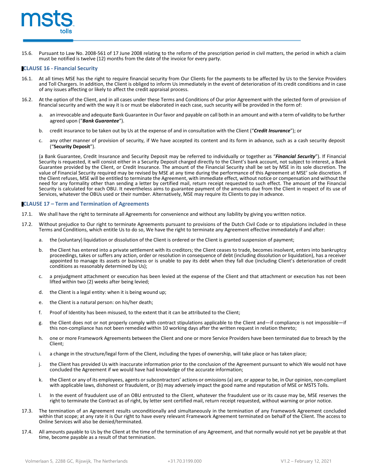

15.6. Pursuant to Law No. 2008-561 of 17 June 2008 relating to the reform of the prescription period in civil matters, the period in which a claim must be notified is twelve (12) months from the date of the invoice for every party.

#### **CLAUSE 16 - Financial Security**

- 16.1. At all times MSE has the right to require financial security from Our Clients for the payments to be affected by Us to the Service Providers and Toll Chargers. In addition, the Client is obliged to inform Us immediately in the event of deterioration of its credit conditions and in case of any issues affecting or likely to affect the credit appraisal process.
- 16.2. At the option of the Client, and in all cases under these Terms and Conditions of Our prior Agreement with the selected form of provision of financial security and with the way it is or must be elaborated in each case, such security will be provided in the form of:
	- a. an irrevocable and adequate Bank Guarantee in Our favor and payable on call both in an amount and with a term of validity to be further agreed upon ("*Bank Guarantee*").
	- b. credit insurance to be taken out by Us at the expense of and in consultation with the Client ("*Credit Insurance*"); or
	- c. any other manner of provision of security, if We have accepted its content and its form in advance, such as a cash security deposit ("**Security Deposit**").

(a Bank Guarantee, Credit Insurance and Security Deposit may be referred to individually or together as "*Financial Security*"). If Financial Security is requested, it will consist either in a Security Deposit charged directly to the Client's bank account, not subject to interest, a Bank Guarantee provided by the Client, or Credit Insurance. The amount of the Financial Security shall be set by MSE in its sole discretion. The value of Financial Security required may be revised by MSE at any time during the performance of this Agreement at MSE' sole discretion. If the Client refuses, MSE will be entitled to terminate the Agreement, with immediate effect, without notice or compensation and without the need for any formality other than sending a letter by certified mail, return receipt requested to such effect. The amount of the Financial Security is calculated for each OBU. It nevertheless aims to guarantee payment of the amounts due from the Client in respect of its use of Services, whatever the OBUs used or their number. Alternatively, MSE may require its Clients to pay in advance.

#### **CLAUSE 17 – Term and Termination of Agreements**

- 17.1. We shall have the right to terminate all Agreements for convenience and without any liability by giving you written notice.
- 17.2. Without prejudice to Our right to terminate Agreements pursuant to provisions of the Dutch Civil Code or to stipulations included in these Terms and Conditions, which entitle Us to do so, We have the right to terminate any Agreement effective immediately if and after:
	- a. the (voluntary) liquidation or dissolution of the Client is ordered or the Client is granted suspension of payment;
	- b. the Client has entered into a private settlement with its creditors; the Client ceases to trade, becomes insolvent, enters into bankruptcy proceedings, takes or suffers any action, order or resolution in consequence of debt (including dissolution or liquidation), has a receiver appointed to manage its assets or business or is unable to pay its debt when they fall due (including Client's deterioration of credit conditions as reasonably determined by Us);
	- c. a prejudgment attachment or execution has been levied at the expense of the Client and that attachment or execution has not been lifted within two (2) weeks after being levied;
	- d. the Client is a legal entity: when it is being wound up;
	- e. the Client is a natural person: on his/her death;
	- f. Proof of Identity has been misused, to the extent that it can be attributed to the Client;
	- g. the Client does not or not properly comply with contract stipulations applicable to the Client and—if compliance is not impossible—if this non-compliance has not been remedied within 10 working days after the written request in relation thereto;
	- h. one or more Framework Agreements between the Client and one or more Service Providers have been terminated due to breach by the Client;
	- i. a change in the structure/legal form of the Client, including the types of ownership, will take place or has taken place;
	- j. the Client has provided Us with inaccurate information prior to the conclusion of the Agreement pursuant to which We would not have concluded the Agreement if we would have had knowledge of the accurate information;
	- k. the Client or any of its employees, agents or subcontractors' actions or omissions(a) are, or appear to be, in Our opinion, non-compliant with applicable laws, dishonest or fraudulent, or (b) may adversely impact the good name and reputation of MSE or MSTS Tolls.
	- l. In the event of fraudulent use of an OBU entrusted to the Client, whatever the fraudulent use or its cause may be, MSE reserves the right to terminate the Contract as of right, by letter sent certified mail, return receipt requested, without warning or prior notice.
- 17.3. The termination of an Agreement results unconditionally and simultaneously in the termination of any Framework Agreement concluded within that scope; at any rate it is Our right to have every relevant Framework Agreement terminated on behalf of the Client. The access to Online Services will also be denied/terminated.
- 17.4. All amounts payable to Us by the Client at the time of the termination of any Agreement, and that normally would not yet be payable at that time, become payable as a result of that termination.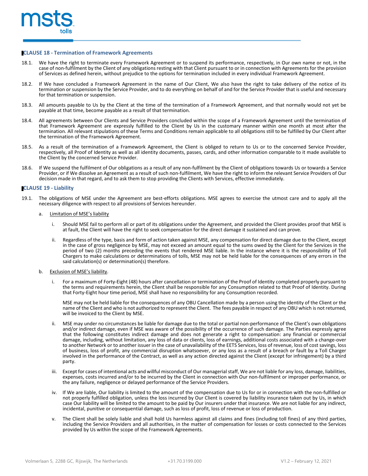

#### **CLAUSE 18 - Termination of Framework Agreements**

- 18.1. We have the right to terminate every Framework Agreement or to suspend its performance, respectively, in Our own name or not, in the client of any obligations resting with that Client pursuant to or in connection wit of Services as defined herein, without prejudice to the options for termination included in every individual Framework Agreement.
- 18.2. If We have concluded a Framework Agreement in the name of Our Client, We also have the right to take delivery of the notice of its termination or suspension by the Service Provider, and to do everything on behalf of and for the Service Provider that is useful and necessary for that termination or suspension.
- 18.3. All amounts payable to Us by the Client at the time of the termination of a Framework Agreement, and that normally would not yet be payable at that time, become payable as a result of that termination.
- 18.4. All agreements between Our Clients and Service Providers concluded within the scope of a Framework Agreement until the termination of that Framework Agreement are expressly fulfilled to the Client by Us in the customary manner within one month at most after the termination. All relevant stipulations of these Terms and Conditions remain applicable to all obligations still to be fulfilled by Our Client after the termination of the Framework Agreement.
- 18.5. As a result of the termination of a Framework Agreement, the Client is obliged to return to Us or to the concerned Service Provider, respectively, all Proof of Identity as well as all identity documents, passes, cards, and other information comparable to it made available to the Client by the concerned Service Provider.
- 18.6. If We suspend the fulfilment of Our obligations as a result of any non-fulfilment by the Client of obligations towards Us or towards a Service Provider, or if We dissolve an Agreement as a result of such non-fulfilment, We have the right to inform the relevant Service Providers of Our decision made in that regard, and to ask them to stop providing the Clients with Services, effective immediately.

#### **CLAUSE 19 - Liability**

19.1. The obligations of MSE under the Agreement are best-efforts obligations. MSE agrees to exercise the utmost care and to apply all the necessary diligence with respect to all provisions of Services hereunder.

#### a. Limitation of MSE's liability

- i. Should MSE fail to perform all or part of its obligations under the Agreement, and provided the Client provides proof that MSE is at fault, the Client will have the right to seek compensation for the direct damage it sustained and can prove.
- ii. Regardless of the type, basis and form of action taken against MSE, any compensation for direct damage due to the Client, except in the case of gross negligence by MSE, may not exceed an amount equal to the sums owed by the Client for the Services in the period of two (2) months preceding the events that rendered MSE liable. In the instance where it is the responsibility of Toll Chargers to make calculations or determinations of tolls, MSE may not be held liable for the consequences of any errors in the said calculation(s) or determination(s) therefore.
- b. Exclusion of MSE's liability.
	- i. For a maximum of Forty-Eight (48) hours after cancellation or termination of the Proof of Identity completed properly pursuant to the terms and requirements herein, the Client shall be responsible for any Consumption related to that Proof of Identity. During that Forty-Eight hour time period, MSE shall have no responsibility for any Consumption recorded.

MSE may not be held liable for the consequences of any OBU Cancellation made by a person using the identity of the Client or the<br>name of the Client and who is not authorized to represent the Client. The fees payable in res will be invoiced to the Client by MSE.

- ii. MSE may under no circumstances be liable for damage due to the total or partial non-performance of the Client's own obligations and/or indirect damage, even if MSE was aware of the possibility of the occurrence of such damage. The Parties expressly agree that the following constitutes indirect damage and does not generate a right to compensation: any financial or commercial damage, including, without limitation, any loss of data or clients, loss of earnings, additional costs associated with a change-over to another Network or to another issuer in the case of unavailability of the EETS Services, loss of revenue, loss of cost savings, loss of business, loss of profit, any commercial disruption whatsoever, or any loss as a result of a breach or fault by a Toll Charger involved in the performance of the Contract, as well as any action directed against the Client (except for infringement) by a third party.
- iii. Except for cases of intentional acts and willful misconduct of Our managerial staff, We are not liable for any loss, damage, liabilities, expenses, costs incurred and/or to be incurred by the Client in connection with Our non-fulfilment or improper performance, or the any failure, negligence or delayed performance of the Service Providers.
- iv. If We are liable, Our liability is limited to the amount of the compensation due to Us for or in connection with the non-fulfilled or not properly fulfilled obligation, unless the loss incurred by Our Client is covered by liability insurance taken out by Us, in which case Our liability will be limited to the amount to be paid by Our insurers under that insurance. We are not liable for any indirect, incidental, punitive or consequential damage, such as loss of profit, loss of revenue or loss of production.
- v. The Client shall be solely liable and shall hold Us harmless against all claims and fines (including toll fines) of any third parties, including the Service Providers and all authorities, in the matter of compensation for losses or costs connected to the Services provided by Us within the scope of the Framework Agreements.